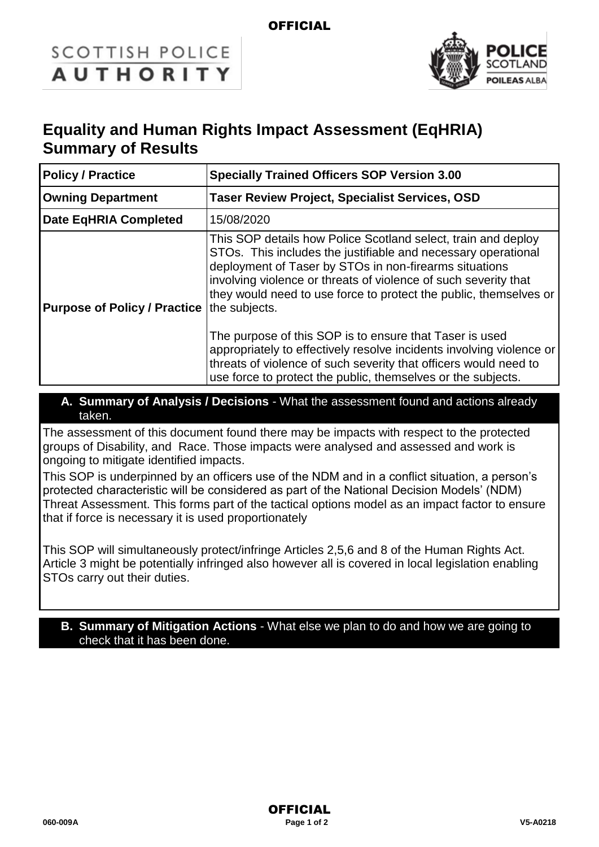### **OFFICIAL**

# **SCOTTISH POLICE AUTHORITY**



# **Equality and Human Rights Impact Assessment (EqHRIA) Summary of Results**

| <b>Policy / Practice</b>                          | <b>Specially Trained Officers SOP Version 3.00</b>                                                                                                                                                                                                                                                                                                                                                                                                                                                                                                                                                      |  |
|---------------------------------------------------|---------------------------------------------------------------------------------------------------------------------------------------------------------------------------------------------------------------------------------------------------------------------------------------------------------------------------------------------------------------------------------------------------------------------------------------------------------------------------------------------------------------------------------------------------------------------------------------------------------|--|
| <b>Owning Department</b>                          | <b>Taser Review Project, Specialist Services, OSD</b>                                                                                                                                                                                                                                                                                                                                                                                                                                                                                                                                                   |  |
| <b>Date EqHRIA Completed</b>                      | 15/08/2020                                                                                                                                                                                                                                                                                                                                                                                                                                                                                                                                                                                              |  |
| <b>Purpose of Policy / Practice the subjects.</b> | This SOP details how Police Scotland select, train and deploy<br>STOs. This includes the justifiable and necessary operational<br>deployment of Taser by STOs in non-firearms situations<br>involving violence or threats of violence of such severity that<br>they would need to use force to protect the public, themselves or<br>The purpose of this SOP is to ensure that Taser is used<br>appropriately to effectively resolve incidents involving violence or<br>threats of violence of such severity that officers would need to<br>use force to protect the public, themselves or the subjects. |  |

**A. Summary of Analysis / Decisions** - What the assessment found and actions already taken.

The assessment of this document found there may be impacts with respect to the protected groups of Disability, and Race. Those impacts were analysed and assessed and work is ongoing to mitigate identified impacts.

This SOP is underpinned by an officers use of the NDM and in a conflict situation, a person's protected characteristic will be considered as part of the National Decision Models' (NDM) Threat Assessment. This forms part of the tactical options model as an impact factor to ensure that if force is necessary it is used proportionately

This SOP will simultaneously protect/infringe Articles 2,5,6 and 8 of the Human Rights Act. Article 3 might be potentially infringed also however all is covered in local legislation enabling STOs carry out their duties.

#### **B. Summary of Mitigation Actions** - What else we plan to do and how we are going to check that it has been done.